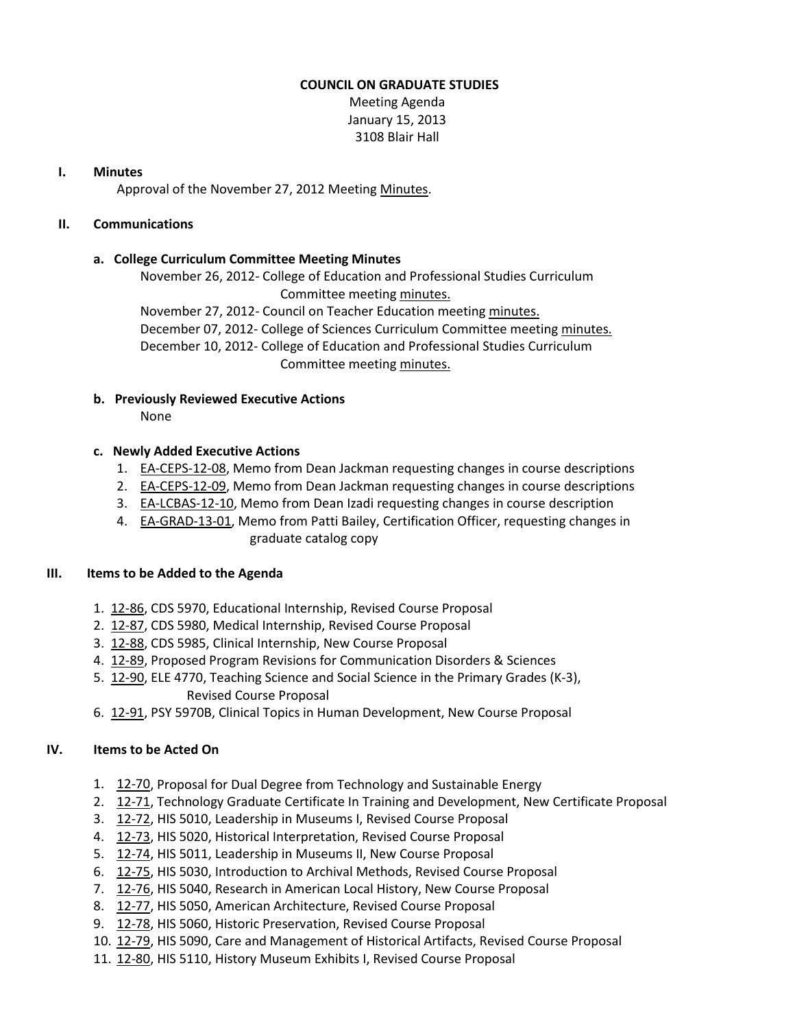### **COUNCIL ON GRADUATE STUDIES**

Meeting Agenda January 15, 2013 3108 Blair Hall

### **I. Minutes**

Approval of the November 27, 2012 Meeting [Minutes.](http://castle.eiu.edu/eiucgs/currentminutes/Minutes11-27-12.pdf)

## **II. Communications**

## **a. College Curriculum Committee Meeting Minutes**

November 26, 2012- College of Education and Professional Studies Curriculum Committee meeting [minutes.](http://castle.eiu.edu/~eiucgs/currentagendaitems/CEPSMin11-26-12.pdf)

November 27, 2012- Council on Teacher Education meetin[g minutes.](http://castle.eiu.edu/~eiucgs/currentagendaitems/COTEMin11-27-12.pdf) December 07, 2012- College of Sciences Curriculum Committee meeting [minutes.](http://castle.eiu.edu/~eiucgs/currentagendaitems/COSMin12-07-12.pdf) December 10, 2012- College of Education and Professional Studies Curriculum Committee meeting [minutes.](http://castle.eiu.edu/~eiucgs/currentagendaitems/CEPSMin12-10-12.pdf)

## **b. Previously Reviewed Executive Actions**

None

### **c. Newly Added Executive Actions**

- 1. [EA-CEPS-12-08,](http://castle.eiu.edu/~eiucgs/exec-actions/EA-CEPS-12-08.pdf) Memo from Dean Jackman requesting changes in course descriptions
- 2. [EA-CEPS-12-09,](http://castle.eiu.edu/~eiucgs/exec-actions/EA-CEPS-12-09.pdf) Memo from Dean Jackman requesting changes in course descriptions
- 3. [EA-LCBAS-12-10,](http://castle.eiu.edu/~eiucgs/exec-actions/EA-LCBAS-12-10.pdf) Memo from Dean Izadi requesting changes in course description
- 4. [EA-GRAD-13-01,](http://castle.eiu.edu/~eiucgs/exec-actions/EA-GRAD-13-01.pdf) Memo from Patti Bailey, Certification Officer, requesting changes in graduate catalog copy

#### **III. Items to be Added to the Agenda**

- 1. [12-86,](http://castle.eiu.edu/~eiucgs/currentagendaitems/agenda12-86.pdf) CDS 5970, Educational Internship, Revised Course Proposal
- 2. [12-87,](http://castle.eiu.edu/~eiucgs/currentagendaitems/agenda12-87.pdf) CDS 5980, Medical Internship, Revised Course Proposal
- 3. [12-88,](http://castle.eiu.edu/~eiucgs/currentagendaitems/agenda12-88.pdf) CDS 5985, Clinical Internship, New Course Proposal
- 4. [12-89,](http://castle.eiu.edu/~eiucgs/currentagendaitems/agenda12-89.pdf) Proposed Program Revisions for Communication Disorders & Sciences
- 5. [12-90,](http://castle.eiu.edu/~eiucgs/currentagendaitems/agenda12-90.pdf) ELE 4770, Teaching Science and Social Science in the Primary Grades (K-3), Revised Course Proposal
- 6. [12-91,](http://castle.eiu.edu/~eiucgs/currentagendaitems/agenda12-91.pdf) PSY 5970B, Clinical Topics in Human Development, New Course Proposal

## **IV. Items to be Acted On**

- 1. [12-70,](http://castle.eiu.edu/~eiucgs/currentagendaitems/agenda12-70.pdf) Proposal for Dual Degree from Technology and Sustainable Energy
- 2. [12-71,](http://castle.eiu.edu/~eiucgs/currentagendaitems/agenda12-71.pdf) Technology Graduate Certificate In Training and Development, New Certificate Proposal
- 3. [12-72,](http://castle.eiu.edu/~eiucgs/currentagendaitems/agenda12-72.pdf) HIS 5010, Leadership in Museums I, Revised Course Proposal
- 4. [12-73,](http://castle.eiu.edu/~eiucgs/currentagendaitems/agenda12-73.pdf) HIS 5020, Historical Interpretation, Revised Course Proposal
- 5. [12-74,](http://castle.eiu.edu/~eiucgs/currentagendaitems/agenda12-74.pdf) HIS 5011, Leadership in Museums II, New Course Proposal
- 6. [12-75,](http://castle.eiu.edu/~eiucgs/currentagendaitems/agenda12-75.pdf) HIS 5030, Introduction to Archival Methods, Revised Course Proposal
- 7. [12-76,](http://castle.eiu.edu/~eiucgs/currentagendaitems/agenda12-76.pdf) HIS 5040, Research in American Local History, New Course Proposal
- 8. [12-77,](http://castle.eiu.edu/~eiucgs/currentagendaitems/agenda12-77.pdf) HIS 5050, American Architecture, Revised Course Proposal
- 9. [12-78,](http://castle.eiu.edu/~eiucgs/currentagendaitems/agenda12-78.pdf) HIS 5060, Historic Preservation, Revised Course Proposal
- 10. [12-79,](http://castle.eiu.edu/~eiucgs/currentagendaitems/agenda12-79.pdf) HIS 5090, Care and Management of Historical Artifacts, Revised Course Proposal
- 11. [12-80,](http://castle.eiu.edu/~eiucgs/currentagendaitems/agenda12-80.pdf) HIS 5110, History Museum Exhibits I, Revised Course Proposal